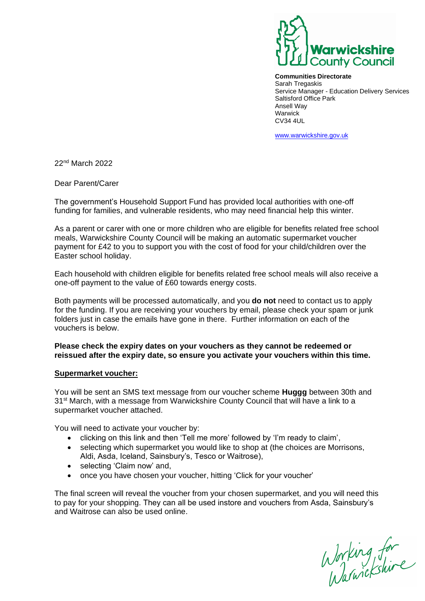

**Communities Directorate**  Sarah Tregaskis Service Manager - Education Delivery Services Saltisford Office Park Ansell Way Warwick CV34 4UL

[www.warwickshire.gov.uk](http://www.warwickshire.gov.uk/) 

22<sup>nd</sup> March 2022

## Dear Parent/Carer

The government's Household Support Fund has provided local authorities with one-off funding for families, and vulnerable residents, who may need financial help this winter.

As a parent or carer with one or more children who are eligible for benefits related free school meals, Warwickshire County Council will be making an automatic supermarket voucher payment for £42 to you to support you with the cost of food for your child/children over the Easter school holiday.

Each household with children eligible for benefits related free school meals will also receive a one-off payment to the value of £60 towards energy costs.

Both payments will be processed automatically, and you **do not** need to contact us to apply for the funding. If you are receiving your vouchers by email, please check your spam or junk folders just in case the emails have gone in there. Further information on each of the vouchers is below.

## **Please check the expiry dates on your vouchers as they cannot be redeemed or reissued after the expiry date, so ensure you activate your vouchers within this time.**

## **Supermarket voucher:**

You will be sent an SMS text message from our voucher scheme **Huggg** between 30th and 31<sup>st</sup> March, with a message from Warwickshire County Council that will have a link to a supermarket voucher attached.

You will need to activate your voucher by:

- clicking on this link and then 'Tell me more' followed by 'I'm ready to claim',
- selecting which supermarket you would like to shop at (the choices are Morrisons, Aldi, Asda, Iceland, Sainsbury's, Tesco or Waitrose),
- selecting 'Claim now' and,
- once you have chosen your voucher, hitting 'Click for your voucher'

The final screen will reveal the voucher from your chosen supermarket, and you will need this to pay for your shopping. They can all be used instore and vouchers from Asda, Sainsbury's and Waitrose can also be used online.

Working for